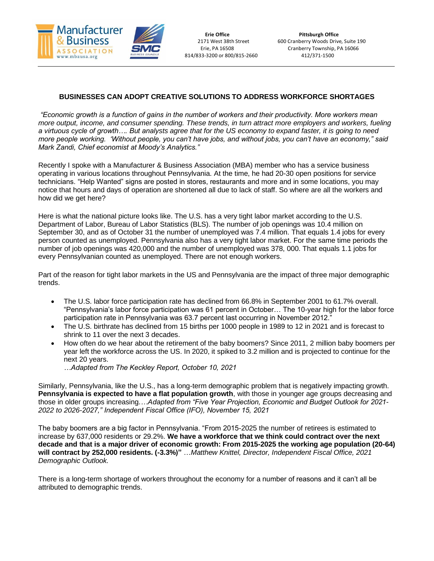

# **BUSINESSES CAN ADOPT CREATIVE SOLUTIONS TO ADDRESS WORKFORCE SHORTAGES**

*"Economic growth is a function of gains in the number of workers and their productivity. More workers mean more output, income, and consumer spending. These trends, in turn attract more employers and workers, fueling a virtuous cycle of growth…. But analysts agree that for the US economy to expand faster, it is going to need more people working. 'Without people, you can't have jobs, and without jobs, you can't have an economy," said Mark Zandi, Chief economist at Moody's Analytics."* 

Recently I spoke with a Manufacturer & Business Association (MBA) member who has a service business operating in various locations throughout Pennsylvania. At the time, he had 20-30 open positions for service technicians. "Help Wanted" signs are posted in stores, restaurants and more and in some locations, you may notice that hours and days of operation are shortened all due to lack of staff. So where are all the workers and how did we get here?

Here is what the national picture looks like. The U.S. has a very tight labor market according to the U.S. Department of Labor, Bureau of Labor Statistics (BLS). The number of job openings was 10.4 million on September 30, and as of October 31 the number of unemployed was 7.4 million. That equals 1.4 jobs for every person counted as unemployed. Pennsylvania also has a very tight labor market. For the same time periods the number of job openings was 420,000 and the number of unemployed was 378, 000. That equals 1.1 jobs for every Pennsylvanian counted as unemployed. There are not enough workers.

Part of the reason for tight labor markets in the US and Pennsylvania are the impact of three major demographic trends.

- The U.S. labor force participation rate has declined from 66.8% in September 2001 to 61.7% overall. "Pennsylvania's labor force participation was 61 percent in October… The 10-year high for the labor force participation rate in Pennsylvania was 63.7 percent last occurring in November 2012."
- The U.S. birthrate has declined from 15 births per 1000 people in 1989 to 12 in 2021 and is forecast to shrink to 11 over the next 3 decades.
- How often do we hear about the retirement of the baby boomers? Since 2011, 2 million baby boomers per year left the workforce across the US. In 2020, it spiked to 3.2 million and is projected to continue for the next 20 years.
	- *…Adapted from The Keckley Report, October 10, 2021*

Similarly, Pennsylvania, like the U.S., has a long-term demographic problem that is negatively impacting growth. **Pennsylvania is expected to have a flat population growth**, with those in younger age groups decreasing and those in older groups increasing.*…Adapted from "Five Year Projection, Economic and Budget Outlook for 2021- 2022 to 2026-2027," Independent Fiscal Office (IFO), November 15, 2021*

The baby boomers are a big factor in Pennsylvania. "From 2015-2025 the number of retirees is estimated to increase by 637,000 residents or 29.2%. **We have a workforce that we think could contract over the next decade and that is a major driver of economic growth: From 2015-2025 the working age population (20-64) will contract by 252,000 residents. (-3.3%)"** …*Matthew Knittel, Director, Independent Fiscal Office, 2021 Demographic Outlook.* 

There is a long-term shortage of workers throughout the economy for a number of reasons and it can't all be attributed to demographic trends.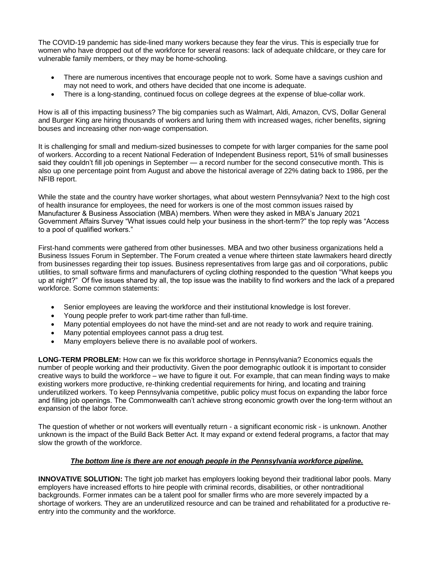The COVID-19 pandemic has side-lined many workers because they fear the virus. This is especially true for women who have dropped out of the workforce for several reasons: lack of adequate childcare, or they care for vulnerable family members, or they may be home-schooling.

- There are numerous incentives that encourage people not to work. Some have a savings cushion and may not need to work, and others have decided that one income is adequate.
- There is a long-standing, continued focus on college degrees at the expense of blue-collar work.

How is all of this impacting business? The big companies such as Walmart, Aldi, Amazon, CVS, Dollar General and Burger King are hiring thousands of workers and luring them with increased wages, richer benefits, signing bouses and increasing other non-wage compensation.

It is challenging for small and medium-sized businesses to compete for with larger companies for the same pool of workers. According to a recent National Federation of Independent Business report, 51% of small businesses said they couldn't fill job openings in September — a record number for the second consecutive month. This is also up one percentage point from August and above the historical average of 22% dating back to 1986, per the NFIB report.

While the state and the country have worker shortages, what about western Pennsylvania? Next to the high cost of health insurance for employees, the need for workers is one of the most common issues raised by Manufacturer & Business Association (MBA) members. When were they asked in MBA's January 2021 Government Affairs Survey "What issues could help your business in the short-term?" the top reply was "Access to a pool of qualified workers."

First-hand comments were gathered from other businesses. MBA and two other business organizations held a Business Issues Forum in September. The Forum created a venue where thirteen state lawmakers heard directly from businesses regarding their top issues. Business representatives from large gas and oil corporations, public utilities, to small software firms and manufacturers of cycling clothing responded to the question "What keeps you up at night?" Of five issues shared by all, the top issue was the inability to find workers and the lack of a prepared workforce. Some common statements:

- Senior employees are leaving the workforce and their institutional knowledge is lost forever.
- Young people prefer to work part-time rather than full-time.
- Many potential employees do not have the mind-set and are not ready to work and require training.
- Many potential employees cannot pass a drug test.
- Many employers believe there is no available pool of workers.

**LONG-TERM PROBLEM:** How can we fix this workforce shortage in Pennsylvania? Economics equals the number of people working and their productivity. Given the poor demographic outlook it is important to consider creative ways to build the workforce – we have to figure it out. For example, that can mean finding ways to make existing workers more productive, re-thinking credential requirements for hiring, and locating and training underutilized workers. To keep Pennsylvania competitive, public policy must focus on expanding the labor force and filling job openings. The Commonwealth can't achieve strong economic growth over the long-term without an expansion of the labor force.

The question of whether or not workers will eventually return - a significant economic risk - is unknown. Another unknown is the impact of the Build Back Better Act. It may expand or extend federal programs, a factor that may slow the growth of the workforce.

### *The bottom line is there are not enough people in the Pennsylvania workforce pipeline.*

**INNOVATIVE SOLUTION:** The tight job market has employers looking beyond their traditional labor pools. Many employers have increased efforts to hire people with criminal records, disabilities, or other nontraditional backgrounds. Former inmates can be a talent pool for smaller firms who are more severely impacted by a shortage of workers. They are an underutilized resource and can be trained and rehabilitated for a productive reentry into the community and the workforce.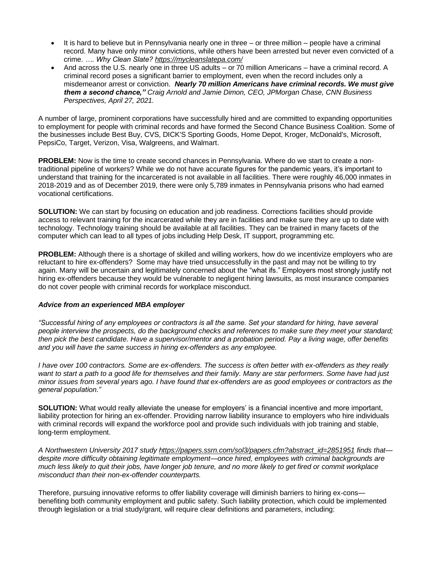- It is hard to believe but in Pennsylvania nearly one in three or three million people have a criminal record. Many have only minor convictions, while others have been arrested but never even convicted of a crime. *…. Why Clean Slate?<https://mycleanslatepa.com/>*
- And across the U.S. nearly one in three US adults or 70 million Americans have a criminal record. A criminal record poses a significant barrier to employment, even when the record includes only a misdemeanor arrest or conviction. *Nearly 70 million Americans have criminal records. We must give them a second chance," Craig Arnold and Jamie Dimon, CEO, JPMorgan Chase, CNN Business Perspectives, April 27, 2021.*

A number of large, prominent corporations have successfully hired and are committed to expanding opportunities to employment for people with criminal records and have formed the Second Chance Business Coalition. Some of the businesses include Best Buy, CVS, DICK'S Sporting Goods, Home Depot, Kroger, McDonald's, Microsoft, PepsiCo, Target, Verizon, Visa, Walgreens, and Walmart.

**PROBLEM:** Now is the time to create second chances in Pennsylvania. Where do we start to create a nontraditional pipeline of workers? While we do not have accurate figures for the pandemic years, it's important to understand that training for the incarcerated is not available in all facilities. There were roughly 46,000 inmates in 2018-2019 and as of December 2019, there were only 5,789 inmates in Pennsylvania prisons who had earned vocational certifications.

**SOLUTION:** We can start by focusing on education and job readiness. Corrections facilities should provide access to relevant training for the incarcerated while they are in facilities and make sure they are up to date with technology. Technology training should be available at all facilities. They can be trained in many facets of the computer which can lead to all types of jobs including Help Desk, IT support, programming etc.

**PROBLEM:** Although there is a shortage of skilled and willing workers, how do we incentivize employers who are reluctant to hire ex-offenders?Some may have tried unsuccessfully in the past and may not be willing to try again. Many will be uncertain and legitimately concerned about the "what ifs." Employers most strongly justify not hiring ex-offenders because they would be vulnerable to negligent hiring lawsuits, as most insurance companies do not cover people with criminal records for workplace misconduct.

### *Advice from an experienced MBA employer*

*"Successful hiring of any employees or contractors is all the same. Set your standard for hiring, have several people interview the prospects, do the background checks and references to make sure they meet your standard; then pick the best candidate. Have a supervisor/mentor and a probation period. Pay a living wage, offer benefits and you will have the same success in hiring ex-offenders as any employee.*

*I have over 100 contractors. Some are ex-offenders. The success is often better with ex-offenders as they really want to start a path to a good life for themselves and their family. Many are star performers. Some have had just minor issues from several years ago. I have found that ex-offenders are as good employees or contractors as the general population."*

**SOLUTION:** What would really alleviate the unease for employers' is a financial incentive and more important, liability protection for hiring an ex-offender. Providing narrow liability insurance to employers who hire individuals with criminal records will expand the workforce pool and provide such individuals with job training and stable, long-term employment.

*A Northwestern University 2017 study [https://papers.ssrn.com/sol3/papers.cfm?abstract\\_id=2851951](https://papers.ssrn.com/sol3/papers.cfm?abstract_id=2851951) finds that despite more difficulty obtaining legitimate employment—once hired, employees with criminal backgrounds are much less likely to quit their jobs, have longer job tenure, and no more likely to get fired or commit workplace misconduct than their non-ex-offender counterparts.*

Therefore, pursuing innovative reforms to offer liability coverage will diminish barriers to hiring ex-cons benefiting both community employment and public safety. Such liability protection, which could be implemented through legislation or a trial study/grant, will require clear definitions and parameters, including: